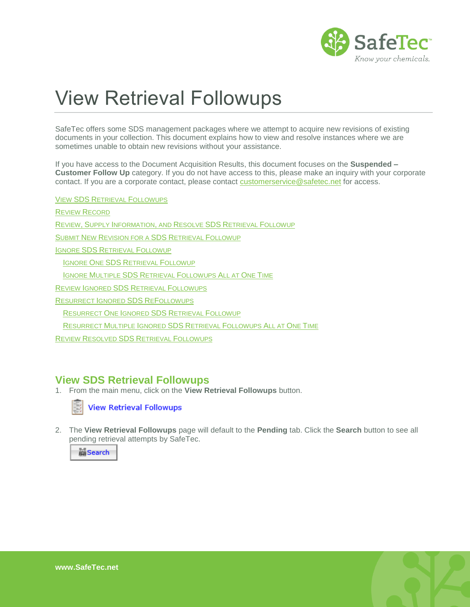

# View Retrieval Followups

SafeTec offers some SDS management packages where we attempt to acquire new revisions of existing documents in your collection. This document explains how to view and resolve instances where we are sometimes unable to obtain new revisions without your assistance.

If you have access to the Document Acquisition Results, this document focuses on the **Suspended – Customer Follow Up** category. If you do not have access to this, please make an inquiry with your corporate contact. If you are a corporate contact, please contact [customerservice@safetec.net](mailto:customerservice@safetec.net) for access.

VIEW SDS RETRIEVAL F[OLLOWUPS](#page-0-0)

REVIEW R[ECORD](#page-1-0)

REVIEW, SUPPLY I[NFORMATION](#page-2-0), AND RESOLVE SDS RETRIEVAL FOLLOWUP

SUBMIT NEW R[EVISION FOR A](#page-3-0) SDS RETRIEVAL FOLLOWUP

IGNORE SDS R[ETRIEVAL](#page-4-0) FOLLOWUP

IGNORE ONE SDS R[ETRIEVAL](#page-4-1) FOLLOWUP

IGNORE MULTIPLE SDS RETRIEVAL F[OLLOWUPS](#page-5-0) ALL AT ONE TIME

REVIEW IGNORED SDS RETRIEVAL F[OLLOWUPS](#page-5-1)

R[ESURRECT](#page-6-0) IGNORED SDS REFOLLOWUPS

R[ESURRECT](#page-6-1) ONE IGNORED SDS RETRIEVAL FOLLOWUP

RESURRECT MULTIPLE IGNORED SDS RETRIEVAL F[OLLOWUPS](#page-7-0) ALL AT ONE TIME

REVIEW RESOLVED SDS RETRIEVAL F[OLLOWUPS](#page-7-1)

#### <span id="page-0-0"></span>**View SDS Retrieval Followups**

1. From the main menu, click on the **View Retrieval Followups** button.



**View Retrieval Followups** 

2. The **View Retrieval Followups** page will default to the **Pending** tab. Click the **Search** button to see all pending retrieval attempts by SafeTec.



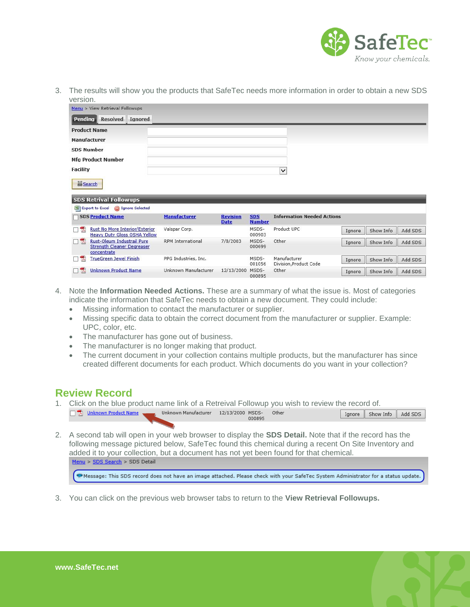

3. The results will show you the products that SafeTec needs more information in order to obtain a new SDS version.

| Menu > View Retrieval Followups                                                                 |                          |                                |                             |                                        |        |           |         |
|-------------------------------------------------------------------------------------------------|--------------------------|--------------------------------|-----------------------------|----------------------------------------|--------|-----------|---------|
| Pending<br><b>Resolved</b><br><b>Ignored</b>                                                    |                          |                                |                             |                                        |        |           |         |
| <b>Product Name</b>                                                                             |                          |                                |                             |                                        |        |           |         |
| Manufacturer                                                                                    |                          |                                |                             |                                        |        |           |         |
| <b>SDS Number</b>                                                                               |                          |                                |                             |                                        |        |           |         |
| <b>Mfg Product Number</b>                                                                       |                          |                                |                             |                                        |        |           |         |
| <b>Facility</b>                                                                                 |                          |                                |                             | $\checkmark$                           |        |           |         |
| <b>M</b> Search<br><b>SDS Retrival Followups</b><br>Export to Excel<br><b>S</b> Ignore Selected |                          |                                |                             |                                        |        |           |         |
| <b>SDS Product Name</b>                                                                         | <b>Manufacturer</b>      | <b>Revision</b><br><b>Date</b> | <b>SDS</b><br><b>Number</b> | <b>Information Needed Actions</b>      |        |           |         |
| <b>Rust No More Interior/Exterior</b><br>$\mathbf{V}$<br><b>Heavy Duty Gloss OSHA Yellow</b>    | Valspar Corp.            |                                | MSDS-<br>000903             | Product UPC                            | Ignore | Show Info | Add SDS |
| <b>Rust-Oleum Industrail Pure</b><br>口云<br><b>Strength Cleaner Degreaser</b><br>concentrate     | <b>RPM</b> International | 7/8/2003                       | MSDS-<br>000699             | Other                                  | Ignore | Show Info | Add SDS |
| <b>TrueGreen Jewel Finish</b><br>W                                                              | PPG Industries, Inc.     |                                | MSDS-<br>001056             | Manufacturer<br>Division, Product Code | Ignore | Show Info | Add SDS |
| <b>Unknown Product Name</b><br>A                                                                | Unknown Manufacturer     | 12/13/2000                     | MSDS-<br>000805             | Other                                  | Ignore | Show Info | Add SDS |

- 4. Note the **Information Needed Actions.** These are a summary of what the issue is. Most of categories indicate the information that SafeTec needs to obtain a new document. They could include:
	- Missing information to contact the manufacturer or supplier.
	- Missing specific data to obtain the correct document from the manufacturer or supplier. Example: UPC, color, etc.
	- The manufacturer has gone out of business.
	- The manufacturer is no longer making that product.
	- The current document in your collection contains multiple products, but the manufacturer has since created different documents for each product. Which documents do you want in your collection?

#### <span id="page-1-0"></span>**Review Record**

- 1. Click on the blue product name link of a Retreival Followup you wish to review the record of. Unknown Manufacturer 12/13/2000 MSDS- Other Dinknown Product Name Ignore | Show Info | Add SDS 000895
- 2. A second tab will open in your web browser to display the **SDS Detail.** Note that if the record has the following message pictured below, SafeTec found this chemical during a recent On Site Inventory and added it to your collection, but a document has not yet been found for that chemical. Menu > SDS Search > SDS Detail

C Message: This SDS record does not have an image attached. Please check with your SafeTec System Administrator for a status update.

3. You can click on the previous web browser tabs to return to the **View Retrieval Followups.**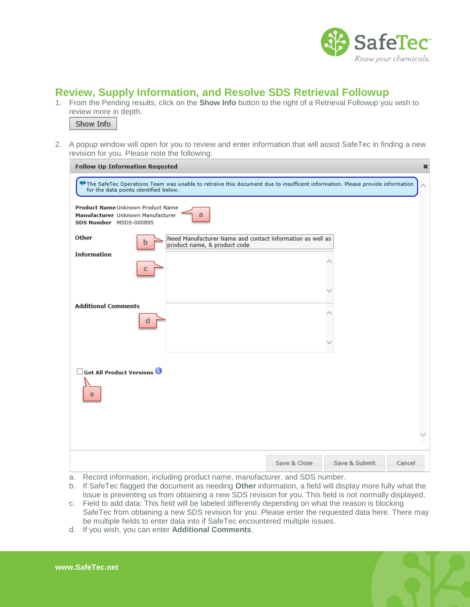

## <span id="page-2-0"></span>**Review, Supply Information, and Resolve SDS Retrieval Followup**

1. From the Pending results, click on the **Show Info** button to the right of a Retrieval Followup you wish to review more in depth.



2. A popup window will open for you to review and enter information that will assist SafeTec in finding a new revision for you. Please note the following:

| <b>Follow Up Information Requsted</b>                                                            |                                                                                                                             |               | $\boldsymbol{\mathsf{x}}$ |
|--------------------------------------------------------------------------------------------------|-----------------------------------------------------------------------------------------------------------------------------|---------------|---------------------------|
| for the data points identified below.                                                            | The SafeTec Operations Team was unable to retreive this document due to insufficent information. Please provide information |               |                           |
| Product Name Unknown Product Name<br>Manufacturer Unknown Manufacturer<br>SDS Number MSDS-000895 | a                                                                                                                           |               |                           |
| Other<br>$\mathbf b$                                                                             | Need Manufacturer Name and contact information as well as<br>product name, & product code                                   |               |                           |
| <b>Information</b><br>C                                                                          |                                                                                                                             |               |                           |
|                                                                                                  |                                                                                                                             |               |                           |
| <b>Additional Comments</b><br>d                                                                  |                                                                                                                             |               |                           |
|                                                                                                  |                                                                                                                             |               |                           |
| <b>Get All Product Versions</b><br>e                                                             |                                                                                                                             |               |                           |
|                                                                                                  |                                                                                                                             |               |                           |
|                                                                                                  | Save & Close                                                                                                                | Save & Submit | Cancel                    |

- a. Record information, including product name, manufacturer, and SDS number.
- b. If SafeTec flagged the document as needing **Other** information, a field will display more fully what the issue is preventing us from obtaining a new SDS revision for you. This field is not normally displayed.
- c. Field to add data: This field will be labeled differently depending on what the reason is blocking SafeTec from obtaining a new SDS revision for you. Please enter the requested data here. There may be multiple fields to enter data into if SafeTec encountered multiple issues.
- d. If you wish, you can enter **Additional Comments**.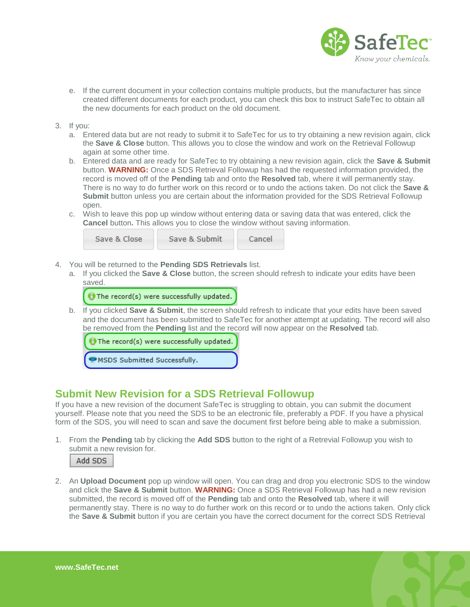

- e. If the current document in your collection contains multiple products, but the manufacturer has since created different documents for each product, you can check this box to instruct SafeTec to obtain all the new documents for each product on the old document.
- 3. If you:
	- a. Entered data but are not ready to submit it to SafeTec for us to try obtaining a new revision again, click the **Save & Close** button. This allows you to close the window and work on the Retrieval Followup again at some other time.
	- b. Entered data and are ready for SafeTec to try obtaining a new revision again, click the **Save & Submit**  button. **WARNING:** Once a SDS Retrieval Followup has had the requested information provided, the record is moved off of the **Pending** tab and onto the **Resolved** tab, where it will permanently stay. There is no way to do further work on this record or to undo the actions taken. Do not click the **Save & Submit** button unless you are certain about the information provided for the SDS Retrieval Followup open.
	- c. Wish to leave this pop up window without entering data or saving data that was entered, click the **Cancel** button**.** This allows you to close the window without saving information.



- 4. You will be returned to the **Pending SDS Retrievals** list.
	- a. If you clicked the **Save & Close** button, the screen should refresh to indicate your edits have been saved.

The record(s) were successfully updated.

b. If you clicked **Save & Submit**, the screen should refresh to indicate that your edits have been saved and the document has been submitted to SafeTec for another attempt at updating. The record will also be removed from the **Pending** list and the record will now appear on the **Resolved** tab.

 $\Theta$  The record(s) were successfully updated.

MSDS Submitted Successfully.

## <span id="page-3-0"></span>**Submit New Revision for a SDS Retrieval Followup**

If you have a new revision of the document SafeTec is struggling to obtain, you can submit the document yourself. Please note that you need the SDS to be an electronic file, preferably a PDF. If you have a physical form of the SDS, you will need to scan and save the document first before being able to make a submission.

1. From the **Pending** tab by clicking the **Add SDS** button to the right of a Retrevial Followup you wish to submit a new revision for.



2. An **Upload Document** pop up window will open. You can drag and drop you electronic SDS to the window and click the **Save & Submit** button. **WARNING:** Once a SDS Retrieval Followup has had a new revision submitted, the record is moved off of the **Pending** tab and onto the **Resolved** tab, where it will permanently stay. There is no way to do further work on this record or to undo the actions taken. Only click the **Save & Submit** button if you are certain you have the correct document for the correct SDS Retrieval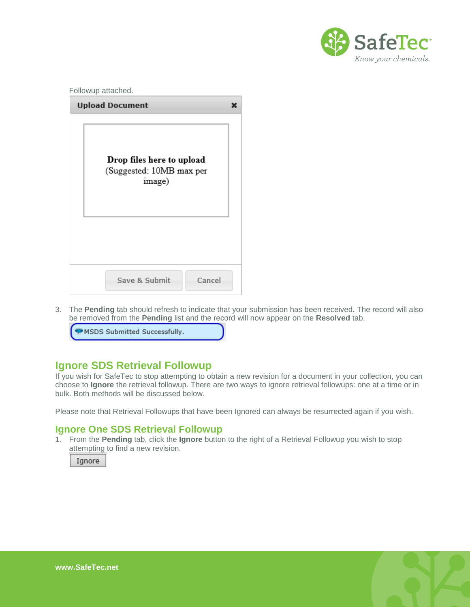

| <b>Upload Document</b>                                          | x |
|-----------------------------------------------------------------|---|
| Drop files here to upload<br>(Suggested: 10MB max per<br>image) |   |
|                                                                 |   |

3. The **Pending** tab should refresh to indicate that your submission has been received. The record will also be removed from the **Pending** list and the record will now appear on the **Resolved** tab.

| MSDS Submitted Successfully. |  |
|------------------------------|--|
|------------------------------|--|

## <span id="page-4-0"></span>**Ignore SDS Retrieval Followup**

If you wish for SafeTec to stop attempting to obtain a new revision for a document in your collection, you can choose to **Ignore** the retrieval followup. There are two ways to ignore retrieval followups: one at a time or in bulk. Both methods will be discussed below.

<span id="page-4-1"></span>Please note that Retrieval Followups that have been Ignored can always be resurrected again if you wish.

#### **Ignore One SDS Retrieval Followup**

1. From the **Pending** tab, click the **Ignore** button to the right of a Retrieval Followup you wish to stop attempting to find a new revision.

Ignore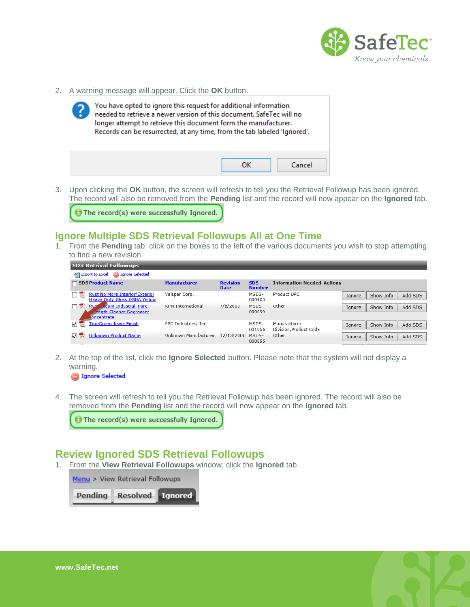

2. A warning message will appear. Click the **OK** button.



3. Upon clicking the **OK** button, the screen will refresh to tell you the Retrieval Followup has been ignored. The record will also be removed from the **Pending** list and the record will now appear on the **Ignored** tab.

The record(s) were successfully Ignored.

#### <span id="page-5-0"></span>**Ignore Multiple SDS Retrieval Followups All at One Time**

1. From the **Pending** tab, click on the boxes to the left of the various documents you wish to stop attempting to find a new revision.

| <b>SDS Retrival Followups</b>                                                                            |                          |                                |                             |                                        |        |           |         |
|----------------------------------------------------------------------------------------------------------|--------------------------|--------------------------------|-----------------------------|----------------------------------------|--------|-----------|---------|
| <b>S</b> Ignore Selected<br>图 Export to Excel                                                            |                          |                                |                             |                                        |        |           |         |
| <b>SDS Product Name</b>                                                                                  | <b>Manufacturer</b>      | <b>Revision</b><br><b>Date</b> | <b>SDS</b><br><b>Number</b> | <b>Information Needed Actions</b>      |        |           |         |
| <b>Rust No More Interior/Exterior</b><br><b>Heavy Duty Gloss OSHA Yellow</b>                             | Valspar Corp.            |                                | MSDS-<br>000903             | Product UPC                            | Ignore | Show Info | Add SDS |
| <b>Dieum Industrail Pure</b><br>퀏<br><b>Rus</b><br><b>Rength Cleaner Degreaser</b><br><b>Soncentrate</b> | <b>RPM</b> International | 7/8/2003                       | MSDS-<br>000699             | Other                                  | Ignore | Show Info | Add SDS |
| <u> TrueGreen Jewel Finish</u><br>⊽                                                                      | PPG Industries, Inc.     |                                | MSDS-<br>001056             | Manufacturer<br>Division, Product Code | Ignore | Show Info | Add SDS |
| <b>Unknown Product Name</b>                                                                              | Unknown Manufacturer     | 12/13/2000                     | MSDS-<br>000895             | Other                                  | Ignore | Show Info | Add SDS |

2. At the top of the list, click the **Ignore Selected** button. Please note that the system will not display a warning.

**Selected** 

4. The screen will refresh to tell you the Retrieval Followup has been ignored. The record will also be removed from the **Pending** list and the record will now appear on the **Ignored** tab.

The record(s) were successfully Ignored.

#### <span id="page-5-1"></span>**Review Ignored SDS Retrieval Followups**

1. From the **View Retrieval Followups** window, click the **Ignored** tab.

| Menu > View Retrieval Followups |  |  |  |  |  |
|---------------------------------|--|--|--|--|--|
| Pending Resolved [Ignored]      |  |  |  |  |  |

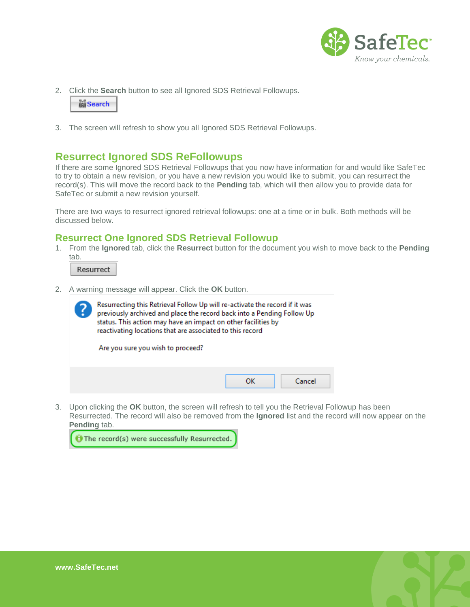

2. Click the **Search** button to see all Ignored SDS Retrieval Followups.

| <b>In Search</b> |  |
|------------------|--|
|                  |  |

<span id="page-6-0"></span>3. The screen will refresh to show you all Ignored SDS Retrieval Followups.

## **Resurrect Ignored SDS ReFollowups**

If there are some Ignored SDS Retrieval Followups that you now have information for and would like SafeTec to try to obtain a new revision, or you have a new revision you would like to submit, you can resurrect the record(s). This will move the record back to the **Pending** tab, which will then allow you to provide data for SafeTec or submit a new revision yourself.

There are two ways to resurrect ignored retrieval followups: one at a time or in bulk. Both methods will be discussed below.

#### <span id="page-6-1"></span>**Resurrect One Ignored SDS Retrieval Followup**

1. From the **Ignored** tab, click the **Resurrect** button for the document you wish to move back to the **Pending**  tab.

Resurrect

2. A warning message will appear. Click the **OK** button.



3. Upon clicking the **OK** button, the screen will refresh to tell you the Retrieval Followup has been Resurrected. The record will also be removed from the **Ignored** list and the record will now appear on the **Pending** tab.



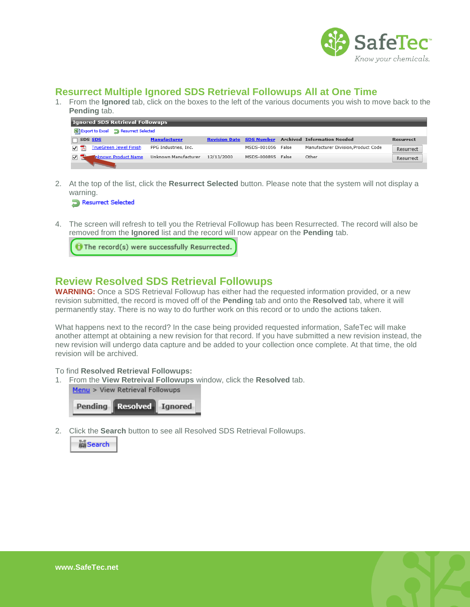

## <span id="page-7-0"></span>**Resurrect Multiple Ignored SDS Retrieval Followups All at One Time**

1. From the **Ignored** tab, click on the boxes to the left of the various documents you wish to move back to the **Pending** tab.

| <b>Ignored SDS Retrieval Followups</b>      |                      |            |                   |  |                                                             |                  |
|---------------------------------------------|----------------------|------------|-------------------|--|-------------------------------------------------------------|------------------|
| Export to Excel <b>D</b> Resurrect Selected |                      |            |                   |  |                                                             |                  |
| SDS SDS                                     | <b>Manufacturer</b>  |            |                   |  | <b>Revision Date SDS Number Archived Information Needed</b> | <b>Resurrect</b> |
| <b>TrueGreen Jewel Finish</b>               | PPG Industries, Inc. |            | MSDS-001056 False |  | Manufacturer Division, Product Code                         | Resurrect        |
| <b>Inknown Product Name</b>                 | Unknown Manufacturer | 12/13/2000 | MSDS-000895 False |  | Other                                                       | Resurrect        |
|                                             |                      |            |                   |  |                                                             |                  |

2. At the top of the list, click the **Resurrect Selected** button. Please note that the system will not display a warning.

Resurrect Selected

4. The screen will refresh to tell you the Retrieval Followup has been Resurrected. The record will also be removed from the **Ignored** list and the record will now appear on the **Pending** tab.

 $\Theta$  The record(s) were successfully Resurrected.

## <span id="page-7-1"></span>**Review Resolved SDS Retrieval Followups**

**WARNING:** Once a SDS Retrieval Followup has either had the requested information provided, or a new revision submitted, the record is moved off of the **Pending** tab and onto the **Resolved** tab, where it will permanently stay. There is no way to do further work on this record or to undo the actions taken.

What happens next to the record? In the case being provided requested information, SafeTec will make another attempt at obtaining a new revision for that record. If you have submitted a new revision instead, the new revision will undergo data capture and be added to your collection once complete. At that time, the old revision will be archived.

#### To find **Resolved Retrieval Followups:**

1. From the **View Retreival Followups** window, click the **Resolved** tab.





2. Click the **Search** button to see all Resolved SDS Retrieval Followups.